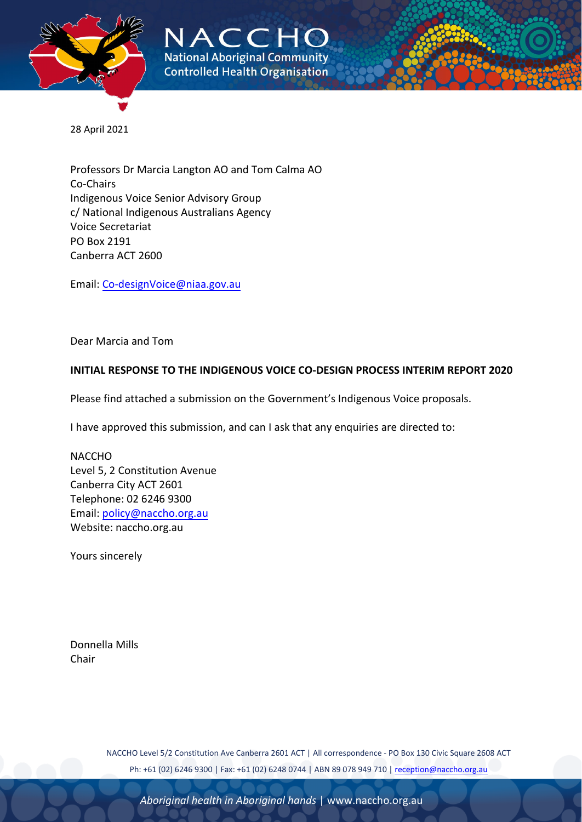

NACCHO **National Aboriginal Community Controlled Health Organisation** 

28 April 2021

Professors Dr Marcia Langton AO and Tom Calma AO Co-Chairs Indigenous Voice Senior Advisory Group c/ National Indigenous Australians Agency Voice Secretariat PO Box 2191 Canberra ACT 2600

Email: [Co-designVoice@niaa.gov.au](mailto:Co-designVoice@niaa.gov.au)

Dear Marcia and Tom

#### **INITIAL RESPONSE TO THE INDIGENOUS VOICE CO-DESIGN PROCESS INTERIM REPORT 2020**

Please find attached a submission on the Government's Indigenous Voice proposals.

I have approved this submission, and can I ask that any enquiries are directed to:

NACCHO Level 5, 2 Constitution Avenue Canberra City ACT 2601 Telephone: 02 6246 9300 Email: [policy@naccho.org.au](mailto:policy@naccho.org.au) Website: naccho.org.au

Yours sincerely

Donnella Mills Chair

> NACCHO Level 5/2 Constitution Ave Canberra 2601 ACT | All correspondence - PO Box 130 Civic Square 2608 ACT Ph: +61 (02) 6246 9300 | Fax: +61 (02) 6248 0744 | ABN 89 078 949 710 [| reception@naccho.org.au](mailto:reception@naccho.org.au)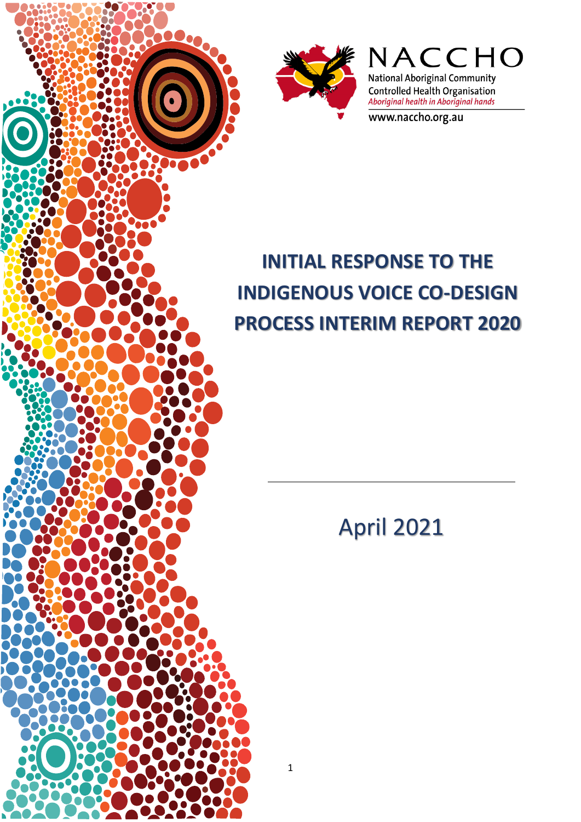



NACCHO **National Aboriginal Community** Controlled Health Organisation<br>Aboriginal health in Aboriginal hands

www.naccho.org.au

# **INITIAL RESPONSE TO THE INDIGENOUS VOICE CO-DESIGN PROCESS INTERIM REPORT 2020**

April 2021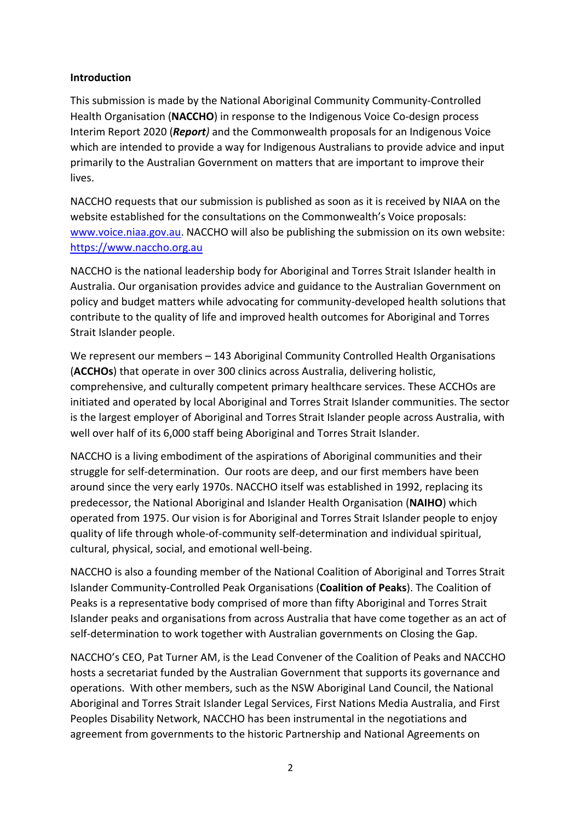#### **Introduction**

This submission is made by the National Aboriginal Community Community-Controlled Health Organisation (**NACCHO**) in response to the Indigenous Voice Co-design process Interim Report 2020 (*Report)* and the Commonwealth proposals for an Indigenous Voice which are intended to provide a way for Indigenous Australians to provide advice and input primarily to the Australian Government on matters that are important to improve their lives.

NACCHO requests that our submission is published as soon as it is received by NIAA on the website established for the consultations on the Commonwealth's Voice proposals: [www.voice.niaa.gov.au.](about:blank) NACCHO will also be publishing the submission on its own website: [https://www.naccho.org.au](https://www.naccho.org.au/)

NACCHO is the national leadership body for Aboriginal and Torres Strait Islander health in Australia. Our organisation provides advice and guidance to the Australian Government on policy and budget matters while advocating for community-developed health solutions that contribute to the quality of life and improved health outcomes for Aboriginal and Torres Strait Islander people.

We represent our members – 143 Aboriginal Community Controlled Health Organisations (**ACCHOs**) that operate in over 300 clinics across Australia, delivering holistic, comprehensive, and culturally competent primary healthcare services. These ACCHOs are initiated and operated by local Aboriginal and Torres Strait Islander communities. The sector is the largest employer of Aboriginal and Torres Strait Islander people across Australia, with well over half of its 6,000 staff being Aboriginal and Torres Strait Islander.

NACCHO is a living embodiment of the aspirations of Aboriginal communities and their struggle for self-determination. Our roots are deep, and our first members have been around since the very early 1970s. NACCHO itself was established in 1992, replacing its predecessor, the National Aboriginal and Islander Health Organisation (**NAIHO**) which operated from 1975. Our vision is for Aboriginal and Torres Strait Islander people to enjoy quality of life through whole-of-community self-determination and individual spiritual, cultural, physical, social, and emotional well-being.

NACCHO is also a founding member of the National Coalition of Aboriginal and Torres Strait Islander Community-Controlled Peak Organisations (**Coalition of Peaks**). The Coalition of Peaks is a representative body comprised of more than fifty Aboriginal and Torres Strait Islander peaks and organisations from across Australia that have come together as an act of self-determination to work together with Australian governments on Closing the Gap.

NACCHO's CEO, Pat Turner AM, is the Lead Convener of the Coalition of Peaks and NACCHO hosts a secretariat funded by the Australian Government that supports its governance and operations. With other members, such as the NSW Aboriginal Land Council, the National Aboriginal and Torres Strait Islander Legal Services, First Nations Media Australia, and First Peoples Disability Network, NACCHO has been instrumental in the negotiations and agreement from governments to the historic Partnership and National Agreements on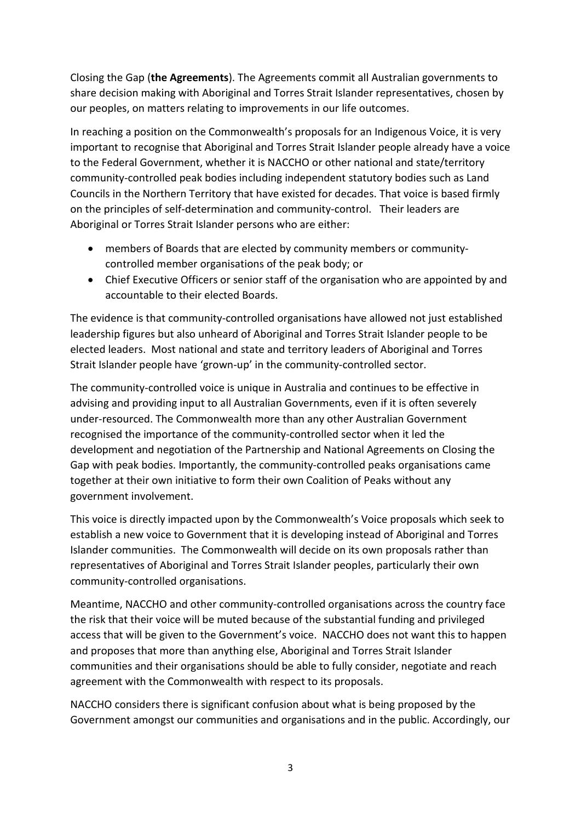Closing the Gap (**the Agreements**). The Agreements commit all Australian governments to share decision making with Aboriginal and Torres Strait Islander representatives, chosen by our peoples, on matters relating to improvements in our life outcomes.

In reaching a position on the Commonwealth's proposals for an Indigenous Voice, it is very important to recognise that Aboriginal and Torres Strait Islander people already have a voice to the Federal Government, whether it is NACCHO or other national and state/territory community-controlled peak bodies including independent statutory bodies such as Land Councils in the Northern Territory that have existed for decades. That voice is based firmly on the principles of self-determination and community-control. Their leaders are Aboriginal or Torres Strait Islander persons who are either:

- members of Boards that are elected by community members or communitycontrolled member organisations of the peak body; or
- Chief Executive Officers or senior staff of the organisation who are appointed by and accountable to their elected Boards.

The evidence is that community-controlled organisations have allowed not just established leadership figures but also unheard of Aboriginal and Torres Strait Islander people to be elected leaders. Most national and state and territory leaders of Aboriginal and Torres Strait Islander people have 'grown-up' in the community-controlled sector.

The community-controlled voice is unique in Australia and continues to be effective in advising and providing input to all Australian Governments, even if it is often severely under-resourced. The Commonwealth more than any other Australian Government recognised the importance of the community-controlled sector when it led the development and negotiation of the Partnership and National Agreements on Closing the Gap with peak bodies. Importantly, the community-controlled peaks organisations came together at their own initiative to form their own Coalition of Peaks without any government involvement.

This voice is directly impacted upon by the Commonwealth's Voice proposals which seek to establish a new voice to Government that it is developing instead of Aboriginal and Torres Islander communities. The Commonwealth will decide on its own proposals rather than representatives of Aboriginal and Torres Strait Islander peoples, particularly their own community-controlled organisations.

Meantime, NACCHO and other community-controlled organisations across the country face the risk that their voice will be muted because of the substantial funding and privileged access that will be given to the Government's voice. NACCHO does not want this to happen and proposes that more than anything else, Aboriginal and Torres Strait Islander communities and their organisations should be able to fully consider, negotiate and reach agreement with the Commonwealth with respect to its proposals.

NACCHO considers there is significant confusion about what is being proposed by the Government amongst our communities and organisations and in the public. Accordingly, our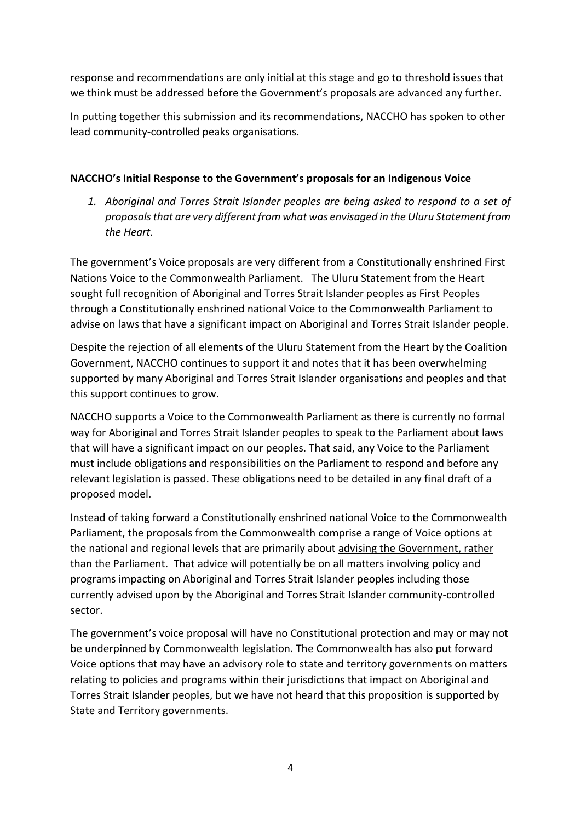response and recommendations are only initial at this stage and go to threshold issues that we think must be addressed before the Government's proposals are advanced any further.

In putting together this submission and its recommendations, NACCHO has spoken to other lead community-controlled peaks organisations.

#### **NACCHO's Initial Response to the Government's proposals for an Indigenous Voice**

*1. Aboriginal and Torres Strait Islander peoples are being asked to respond to a set of proposals that are very different from what was envisaged in the Uluru Statement from the Heart.*

The government's Voice proposals are very different from a Constitutionally enshrined First Nations Voice to the Commonwealth Parliament. The Uluru Statement from the Heart sought full recognition of Aboriginal and Torres Strait Islander peoples as First Peoples through a Constitutionally enshrined national Voice to the Commonwealth Parliament to advise on laws that have a significant impact on Aboriginal and Torres Strait Islander people.

Despite the rejection of all elements of the Uluru Statement from the Heart by the Coalition Government, NACCHO continues to support it and notes that it has been overwhelming supported by many Aboriginal and Torres Strait Islander organisations and peoples and that this support continues to grow.

NACCHO supports a Voice to the Commonwealth Parliament as there is currently no formal way for Aboriginal and Torres Strait Islander peoples to speak to the Parliament about laws that will have a significant impact on our peoples. That said, any Voice to the Parliament must include obligations and responsibilities on the Parliament to respond and before any relevant legislation is passed. These obligations need to be detailed in any final draft of a proposed model.

Instead of taking forward a Constitutionally enshrined national Voice to the Commonwealth Parliament, the proposals from the Commonwealth comprise a range of Voice options at the national and regional levels that are primarily about advising the Government, rather than the Parliament. That advice will potentially be on all matters involving policy and programs impacting on Aboriginal and Torres Strait Islander peoples including those currently advised upon by the Aboriginal and Torres Strait Islander community-controlled sector.

The government's voice proposal will have no Constitutional protection and may or may not be underpinned by Commonwealth legislation. The Commonwealth has also put forward Voice options that may have an advisory role to state and territory governments on matters relating to policies and programs within their jurisdictions that impact on Aboriginal and Torres Strait Islander peoples, but we have not heard that this proposition is supported by State and Territory governments.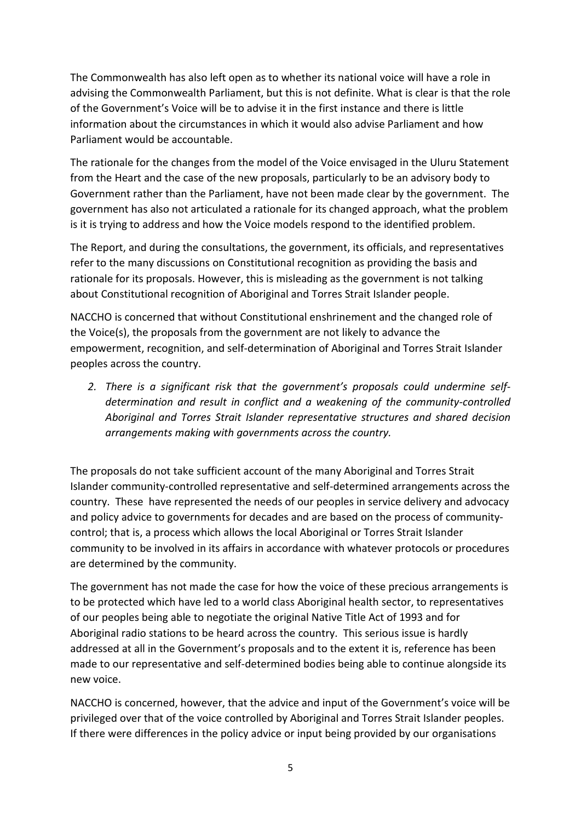The Commonwealth has also left open as to whether its national voice will have a role in advising the Commonwealth Parliament, but this is not definite. What is clear is that the role of the Government's Voice will be to advise it in the first instance and there is little information about the circumstances in which it would also advise Parliament and how Parliament would be accountable.

The rationale for the changes from the model of the Voice envisaged in the Uluru Statement from the Heart and the case of the new proposals, particularly to be an advisory body to Government rather than the Parliament, have not been made clear by the government. The government has also not articulated a rationale for its changed approach, what the problem is it is trying to address and how the Voice models respond to the identified problem.

The Report, and during the consultations, the government, its officials, and representatives refer to the many discussions on Constitutional recognition as providing the basis and rationale for its proposals. However, this is misleading as the government is not talking about Constitutional recognition of Aboriginal and Torres Strait Islander people.

NACCHO is concerned that without Constitutional enshrinement and the changed role of the Voice(s), the proposals from the government are not likely to advance the empowerment, recognition, and self-determination of Aboriginal and Torres Strait Islander peoples across the country.

*2. There is a significant risk that the government's proposals could undermine selfdetermination and result in conflict and a weakening of the community-controlled Aboriginal and Torres Strait Islander representative structures and shared decision arrangements making with governments across the country.*

The proposals do not take sufficient account of the many Aboriginal and Torres Strait Islander community-controlled representative and self-determined arrangements across the country. These have represented the needs of our peoples in service delivery and advocacy and policy advice to governments for decades and are based on the process of communitycontrol; that is, a process which allows the local Aboriginal or Torres Strait Islander community to be involved in its affairs in accordance with whatever protocols or procedures are determined by the community.

The government has not made the case for how the voice of these precious arrangements is to be protected which have led to a world class Aboriginal health sector, to representatives of our peoples being able to negotiate the original Native Title Act of 1993 and for Aboriginal radio stations to be heard across the country. This serious issue is hardly addressed at all in the Government's proposals and to the extent it is, reference has been made to our representative and self-determined bodies being able to continue alongside its new voice.

NACCHO is concerned, however, that the advice and input of the Government's voice will be privileged over that of the voice controlled by Aboriginal and Torres Strait Islander peoples. If there were differences in the policy advice or input being provided by our organisations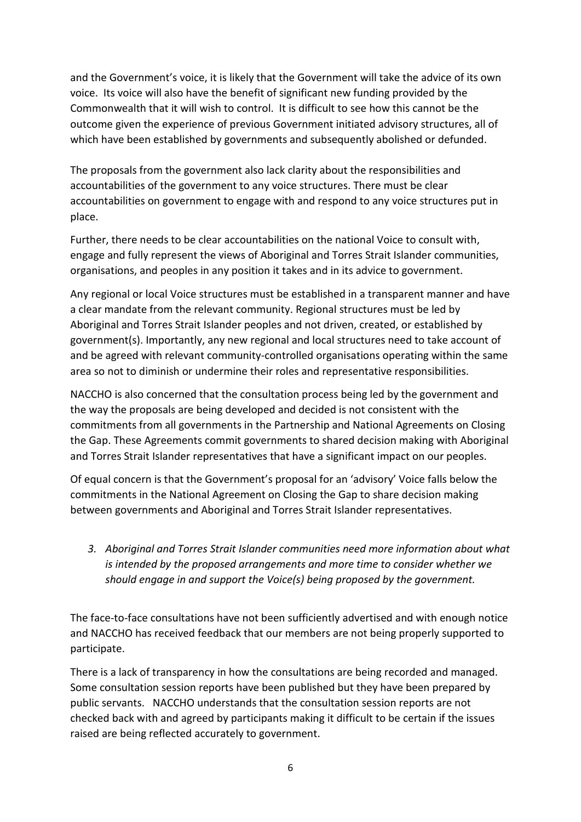and the Government's voice, it is likely that the Government will take the advice of its own voice. Its voice will also have the benefit of significant new funding provided by the Commonwealth that it will wish to control. It is difficult to see how this cannot be the outcome given the experience of previous Government initiated advisory structures, all of which have been established by governments and subsequently abolished or defunded.

The proposals from the government also lack clarity about the responsibilities and accountabilities of the government to any voice structures. There must be clear accountabilities on government to engage with and respond to any voice structures put in place.

Further, there needs to be clear accountabilities on the national Voice to consult with, engage and fully represent the views of Aboriginal and Torres Strait Islander communities, organisations, and peoples in any position it takes and in its advice to government.

Any regional or local Voice structures must be established in a transparent manner and have a clear mandate from the relevant community. Regional structures must be led by Aboriginal and Torres Strait Islander peoples and not driven, created, or established by government(s). Importantly, any new regional and local structures need to take account of and be agreed with relevant community-controlled organisations operating within the same area so not to diminish or undermine their roles and representative responsibilities.

NACCHO is also concerned that the consultation process being led by the government and the way the proposals are being developed and decided is not consistent with the commitments from all governments in the Partnership and National Agreements on Closing the Gap. These Agreements commit governments to shared decision making with Aboriginal and Torres Strait Islander representatives that have a significant impact on our peoples.

Of equal concern is that the Government's proposal for an 'advisory' Voice falls below the commitments in the National Agreement on Closing the Gap to share decision making between governments and Aboriginal and Torres Strait Islander representatives.

*3. Aboriginal and Torres Strait Islander communities need more information about what is intended by the proposed arrangements and more time to consider whether we should engage in and support the Voice(s) being proposed by the government.*

The face-to-face consultations have not been sufficiently advertised and with enough notice and NACCHO has received feedback that our members are not being properly supported to participate.

There is a lack of transparency in how the consultations are being recorded and managed. Some consultation session reports have been published but they have been prepared by public servants. NACCHO understands that the consultation session reports are not checked back with and agreed by participants making it difficult to be certain if the issues raised are being reflected accurately to government.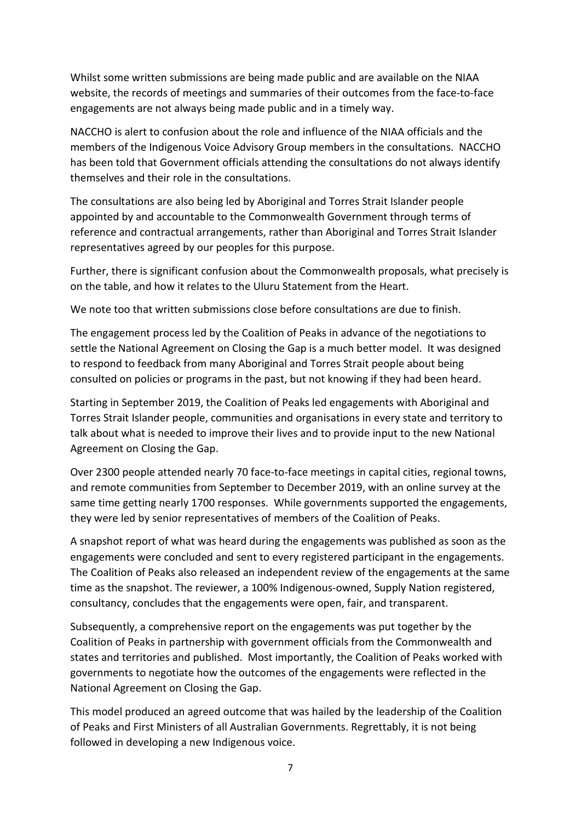Whilst some written submissions are being made public and are available on the NIAA website, the records of meetings and summaries of their outcomes from the face-to-face engagements are not always being made public and in a timely way.

NACCHO is alert to confusion about the role and influence of the NIAA officials and the members of the Indigenous Voice Advisory Group members in the consultations. NACCHO has been told that Government officials attending the consultations do not always identify themselves and their role in the consultations.

The consultations are also being led by Aboriginal and Torres Strait Islander people appointed by and accountable to the Commonwealth Government through terms of reference and contractual arrangements, rather than Aboriginal and Torres Strait Islander representatives agreed by our peoples for this purpose.

Further, there is significant confusion about the Commonwealth proposals, what precisely is on the table, and how it relates to the Uluru Statement from the Heart.

We note too that written submissions close before consultations are due to finish.

The engagement process led by the Coalition of Peaks in advance of the negotiations to settle the National Agreement on Closing the Gap is a much better model. It was designed to respond to feedback from many Aboriginal and Torres Strait people about being consulted on policies or programs in the past, but not knowing if they had been heard.

Starting in September 2019, the Coalition of Peaks led engagements with Aboriginal and Torres Strait Islander people, communities and organisations in every state and territory to talk about what is needed to improve their lives and to provide input to the new National Agreement on Closing the Gap.

Over 2300 people attended nearly 70 face-to-face meetings in capital cities, regional towns, and remote communities from September to December 2019, with an online survey at the same time getting nearly 1700 responses. While governments supported the engagements, they were led by senior representatives of members of the Coalition of Peaks.

A snapshot report of what was heard during the engagements was published as soon as the engagements were concluded and sent to every registered participant in the engagements. The Coalition of Peaks also released an independent review of the engagements at the same time as the snapshot. The reviewer, a 100% Indigenous-owned, Supply Nation registered, consultancy, concludes that the engagements were open, fair, and transparent.

Subsequently, a comprehensive report on the engagements was put together by the Coalition of Peaks in partnership with government officials from the Commonwealth and states and territories and published. Most importantly, the Coalition of Peaks worked with governments to negotiate how the outcomes of the engagements were reflected in the National Agreement on Closing the Gap.

This model produced an agreed outcome that was hailed by the leadership of the Coalition of Peaks and First Ministers of all Australian Governments. Regrettably, it is not being followed in developing a new Indigenous voice.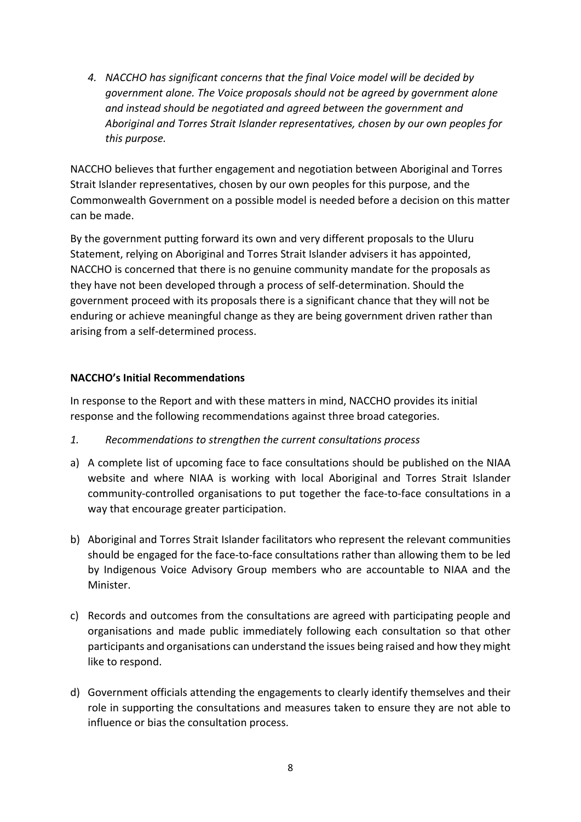*4. NACCHO has significant concerns that the final Voice model will be decided by government alone. The Voice proposals should not be agreed by government alone and instead should be negotiated and agreed between the government and Aboriginal and Torres Strait Islander representatives, chosen by our own peoples for this purpose.*

NACCHO believes that further engagement and negotiation between Aboriginal and Torres Strait Islander representatives, chosen by our own peoples for this purpose, and the Commonwealth Government on a possible model is needed before a decision on this matter can be made.

By the government putting forward its own and very different proposals to the Uluru Statement, relying on Aboriginal and Torres Strait Islander advisers it has appointed, NACCHO is concerned that there is no genuine community mandate for the proposals as they have not been developed through a process of self-determination. Should the government proceed with its proposals there is a significant chance that they will not be enduring or achieve meaningful change as they are being government driven rather than arising from a self-determined process.

## **NACCHO's Initial Recommendations**

In response to the Report and with these matters in mind, NACCHO provides its initial response and the following recommendations against three broad categories.

- *1. Recommendations to strengthen the current consultations process*
- a) A complete list of upcoming face to face consultations should be published on the NIAA website and where NIAA is working with local Aboriginal and Torres Strait Islander community-controlled organisations to put together the face-to-face consultations in a way that encourage greater participation.
- b) Aboriginal and Torres Strait Islander facilitators who represent the relevant communities should be engaged for the face-to-face consultations rather than allowing them to be led by Indigenous Voice Advisory Group members who are accountable to NIAA and the Minister.
- c) Records and outcomes from the consultations are agreed with participating people and organisations and made public immediately following each consultation so that other participants and organisations can understand the issues being raised and how they might like to respond.
- d) Government officials attending the engagements to clearly identify themselves and their role in supporting the consultations and measures taken to ensure they are not able to influence or bias the consultation process.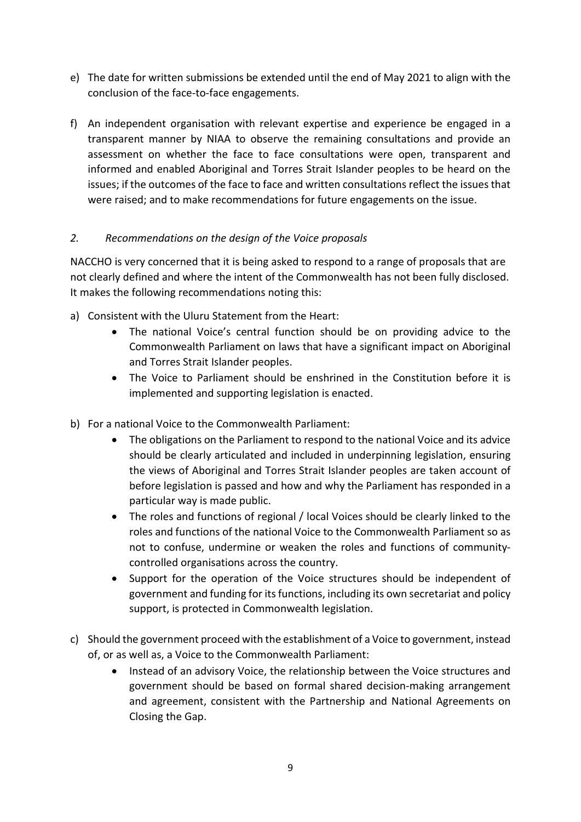- e) The date for written submissions be extended until the end of May 2021 to align with the conclusion of the face-to-face engagements.
- f) An independent organisation with relevant expertise and experience be engaged in a transparent manner by NIAA to observe the remaining consultations and provide an assessment on whether the face to face consultations were open, transparent and informed and enabled Aboriginal and Torres Strait Islander peoples to be heard on the issues; if the outcomes of the face to face and written consultations reflect the issues that were raised; and to make recommendations for future engagements on the issue.

## *2. Recommendations on the design of the Voice proposals*

NACCHO is very concerned that it is being asked to respond to a range of proposals that are not clearly defined and where the intent of the Commonwealth has not been fully disclosed. It makes the following recommendations noting this:

- a) Consistent with the Uluru Statement from the Heart:
	- The national Voice's central function should be on providing advice to the Commonwealth Parliament on laws that have a significant impact on Aboriginal and Torres Strait Islander peoples.
	- The Voice to Parliament should be enshrined in the Constitution before it is implemented and supporting legislation is enacted.
- b) For a national Voice to the Commonwealth Parliament:
	- The obligations on the Parliament to respond to the national Voice and its advice should be clearly articulated and included in underpinning legislation, ensuring the views of Aboriginal and Torres Strait Islander peoples are taken account of before legislation is passed and how and why the Parliament has responded in a particular way is made public.
	- The roles and functions of regional / local Voices should be clearly linked to the roles and functions of the national Voice to the Commonwealth Parliament so as not to confuse, undermine or weaken the roles and functions of communitycontrolled organisations across the country.
	- Support for the operation of the Voice structures should be independent of government and funding for its functions, including its own secretariat and policy support, is protected in Commonwealth legislation.
- c) Should the government proceed with the establishment of a Voice to government, instead of, or as well as, a Voice to the Commonwealth Parliament:
	- Instead of an advisory Voice, the relationship between the Voice structures and government should be based on formal shared decision-making arrangement and agreement, consistent with the Partnership and National Agreements on Closing the Gap.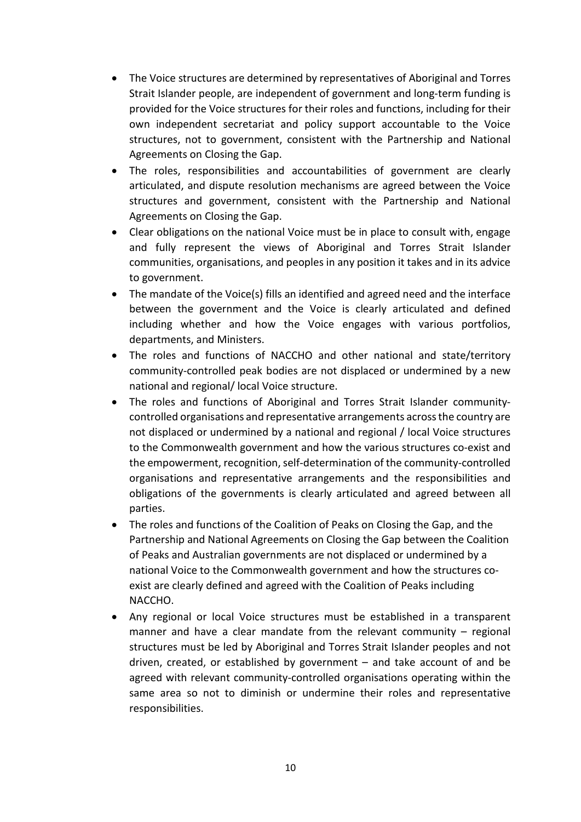- The Voice structures are determined by representatives of Aboriginal and Torres Strait Islander people, are independent of government and long-term funding is provided for the Voice structures for their roles and functions, including for their own independent secretariat and policy support accountable to the Voice structures, not to government, consistent with the Partnership and National Agreements on Closing the Gap.
- The roles, responsibilities and accountabilities of government are clearly articulated, and dispute resolution mechanisms are agreed between the Voice structures and government, consistent with the Partnership and National Agreements on Closing the Gap.
- Clear obligations on the national Voice must be in place to consult with, engage and fully represent the views of Aboriginal and Torres Strait Islander communities, organisations, and peoples in any position it takes and in its advice to government.
- The mandate of the Voice(s) fills an identified and agreed need and the interface between the government and the Voice is clearly articulated and defined including whether and how the Voice engages with various portfolios, departments, and Ministers.
- The roles and functions of NACCHO and other national and state/territory community-controlled peak bodies are not displaced or undermined by a new national and regional/ local Voice structure.
- The roles and functions of Aboriginal and Torres Strait Islander communitycontrolled organisations and representative arrangements across the country are not displaced or undermined by a national and regional / local Voice structures to the Commonwealth government and how the various structures co-exist and the empowerment, recognition, self-determination of the community-controlled organisations and representative arrangements and the responsibilities and obligations of the governments is clearly articulated and agreed between all parties.
- The roles and functions of the Coalition of Peaks on Closing the Gap, and the Partnership and National Agreements on Closing the Gap between the Coalition of Peaks and Australian governments are not displaced or undermined by a national Voice to the Commonwealth government and how the structures coexist are clearly defined and agreed with the Coalition of Peaks including NACCHO.
- Any regional or local Voice structures must be established in a transparent manner and have a clear mandate from the relevant community – regional structures must be led by Aboriginal and Torres Strait Islander peoples and not driven, created, or established by government – and take account of and be agreed with relevant community-controlled organisations operating within the same area so not to diminish or undermine their roles and representative responsibilities.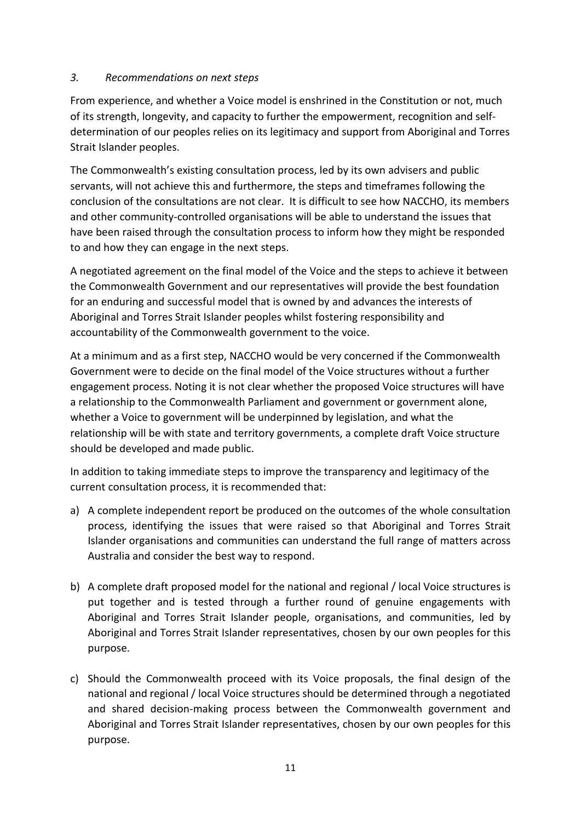#### *3. Recommendations on next steps*

From experience, and whether a Voice model is enshrined in the Constitution or not, much of its strength, longevity, and capacity to further the empowerment, recognition and selfdetermination of our peoples relies on its legitimacy and support from Aboriginal and Torres Strait Islander peoples.

The Commonwealth's existing consultation process, led by its own advisers and public servants, will not achieve this and furthermore, the steps and timeframes following the conclusion of the consultations are not clear. It is difficult to see how NACCHO, its members and other community-controlled organisations will be able to understand the issues that have been raised through the consultation process to inform how they might be responded to and how they can engage in the next steps.

A negotiated agreement on the final model of the Voice and the steps to achieve it between the Commonwealth Government and our representatives will provide the best foundation for an enduring and successful model that is owned by and advances the interests of Aboriginal and Torres Strait Islander peoples whilst fostering responsibility and accountability of the Commonwealth government to the voice.

At a minimum and as a first step, NACCHO would be very concerned if the Commonwealth Government were to decide on the final model of the Voice structures without a further engagement process. Noting it is not clear whether the proposed Voice structures will have a relationship to the Commonwealth Parliament and government or government alone, whether a Voice to government will be underpinned by legislation, and what the relationship will be with state and territory governments, a complete draft Voice structure should be developed and made public.

In addition to taking immediate steps to improve the transparency and legitimacy of the current consultation process, it is recommended that:

- a) A complete independent report be produced on the outcomes of the whole consultation process, identifying the issues that were raised so that Aboriginal and Torres Strait Islander organisations and communities can understand the full range of matters across Australia and consider the best way to respond.
- b) A complete draft proposed model for the national and regional / local Voice structures is put together and is tested through a further round of genuine engagements with Aboriginal and Torres Strait Islander people, organisations, and communities, led by Aboriginal and Torres Strait Islander representatives, chosen by our own peoples for this purpose.
- c) Should the Commonwealth proceed with its Voice proposals, the final design of the national and regional / local Voice structures should be determined through a negotiated and shared decision-making process between the Commonwealth government and Aboriginal and Torres Strait Islander representatives, chosen by our own peoples for this purpose.